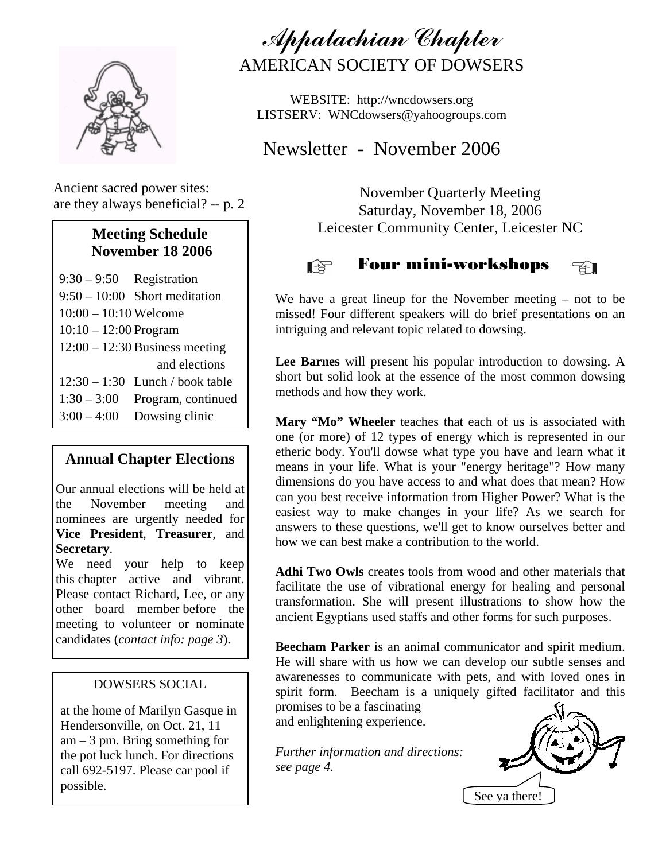

Ancient sacred power sites: are they always beneficial? -- p. 2

## **Meeting Schedule November 18 2006**

 9:30 – 9:50 Registration 9:50 – 10:00 Short meditation  $10:00 - 10:10$  Welcome 10:10 – 12:00 Program 12:00 – 12:30 Business meeting and elections 12:30 – 1:30 Lunch / book table  $1:30 - 3:00$  Program, continued  $3:00 - 4:00$  Dowsing clinic

## **Annual Chapter Elections**

Our annual elections will be held at the November meeting and nominees are urgently needed for **Vice President**, **Treasurer**, and **Secretary**.

We need your help to keep this chapter active and vibrant. Please contact Richard, Lee, or any other board member before the meeting to volunteer or nominate candidates (*contact info: page 3*).

## DOWSERS SOCIAL

at the home of Marilyn Gasque in Hendersonville, on Oct. 21, 11  $am - 3$  pm. Bring something for the pot luck lunch. For directions call 692-5197. Please car pool if possible.

Appalachian Chapter AMERICAN SOCIETY OF DOWSERS

WEBSITE: http://wncdowsers.org LISTSERV: WNCdowsers@yahoogroups.com

Newsletter - November 2006

November Quarterly Meeting Saturday, November 18, 2006 Leicester Community Center, Leicester NC

#### Four mini-workshops LQ 1 ₹Π

We have a great lineup for the November meeting – not to be missed! Four different speakers will do brief presentations on an intriguing and relevant topic related to dowsing.

**Lee Barnes** will present his popular introduction to dowsing. A short but solid look at the essence of the most common dowsing methods and how they work.

Mary "Mo" Wheeler teaches that each of us is associated with one (or more) of 12 types of energy which is represented in our etheric body. You'll dowse what type you have and learn what it means in your life. What is your "energy heritage"? How many dimensions do you have access to and what does that mean? How can you best receive information from Higher Power? What is the easiest way to make changes in your life? As we search for answers to these questions, we'll get to know ourselves better and how we can best make a contribution to the world.

**Adhi Two Owls** creates tools from wood and other materials that facilitate the use of vibrational energy for healing and personal transformation. She will present illustrations to show how the ancient Egyptians used staffs and other forms for such purposes.

**Beecham Parker** is an animal communicator and spirit medium. He will share with us how we can develop our subtle senses and awarenesses to communicate with pets, and with loved ones in spirit form. Beecham is a uniquely gifted facilitator and this promises to be a fascinating

and enlightening experience.

*Further information and directions: see page 4.* 

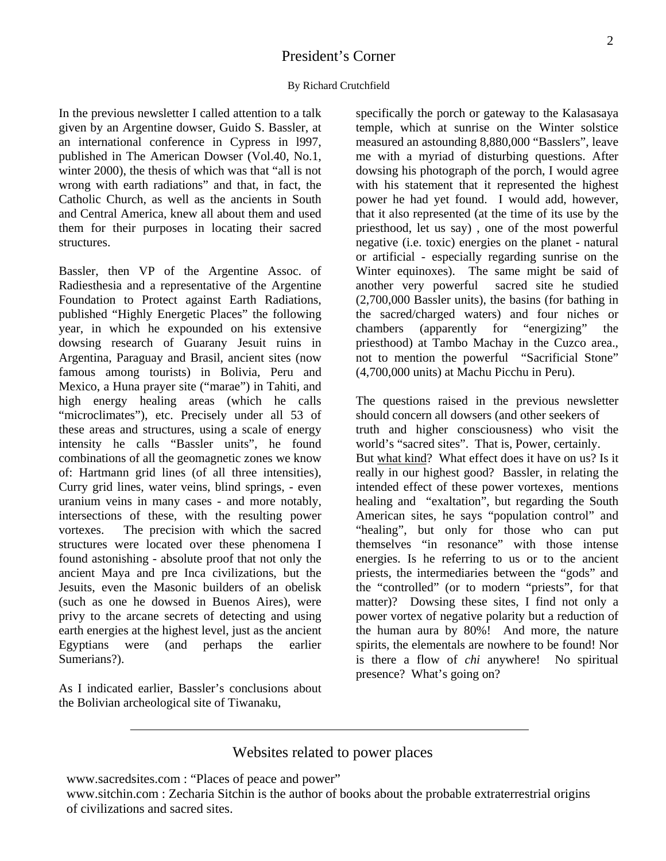## President's Corner

#### By Richard Crutchfield

In the previous newsletter I called attention to a talk given by an Argentine dowser, Guido S. Bassler, at an international conference in Cypress in l997, published in The American Dowser (Vol.40, No.1, winter 2000), the thesis of which was that "all is not wrong with earth radiations" and that, in fact, the Catholic Church, as well as the ancients in South and Central America, knew all about them and used them for their purposes in locating their sacred structures.

Bassler, then VP of the Argentine Assoc. of Radiesthesia and a representative of the Argentine Foundation to Protect against Earth Radiations, published "Highly Energetic Places" the following year, in which he expounded on his extensive dowsing research of Guarany Jesuit ruins in Argentina, Paraguay and Brasil, ancient sites (now famous among tourists) in Bolivia, Peru and Mexico, a Huna prayer site ("marae") in Tahiti, and high energy healing areas (which he calls "microclimates"), etc. Precisely under all 53 of these areas and structures, using a scale of energy intensity he calls "Bassler units", he found combinations of all the geomagnetic zones we know of: Hartmann grid lines (of all three intensities), Curry grid lines, water veins, blind springs, - even uranium veins in many cases - and more notably, intersections of these, with the resulting power vortexes. The precision with which the sacred structures were located over these phenomena I found astonishing - absolute proof that not only the ancient Maya and pre Inca civilizations, but the Jesuits, even the Masonic builders of an obelisk (such as one he dowsed in Buenos Aires), were privy to the arcane secrets of detecting and using earth energies at the highest level, just as the ancient Egyptians were (and perhaps the earlier Sumerians?).

As I indicated earlier, Bassler's conclusions about the Bolivian archeological site of Tiwanaku,

specifically the porch or gateway to the Kalasasaya temple, which at sunrise on the Winter solstice measured an astounding 8,880,000 "Basslers", leave me with a myriad of disturbing questions. After dowsing his photograph of the porch, I would agree with his statement that it represented the highest power he had yet found. I would add, however, that it also represented (at the time of its use by the priesthood, let us say) , one of the most powerful negative (i.e. toxic) energies on the planet - natural or artificial - especially regarding sunrise on the Winter equinoxes). The same might be said of another very powerful sacred site he studied (2,700,000 Bassler units), the basins (for bathing in the sacred/charged waters) and four niches or chambers (apparently for "energizing" the priesthood) at Tambo Machay in the Cuzco area., not to mention the powerful "Sacrificial Stone" (4,700,000 units) at Machu Picchu in Peru).

The questions raised in the previous newsletter should concern all dowsers (and other seekers of truth and higher consciousness) who visit the world's "sacred sites". That is, Power, certainly. But what kind? What effect does it have on us? Is it really in our highest good? Bassler, in relating the intended effect of these power vortexes, mentions healing and "exaltation", but regarding the South American sites, he says "population control" and "healing", but only for those who can put themselves "in resonance" with those intense energies. Is he referring to us or to the ancient priests, the intermediaries between the "gods" and the "controlled" (or to modern "priests", for that matter)? Dowsing these sites, I find not only a power vortex of negative polarity but a reduction of the human aura by 80%! And more, the nature spirits, the elementals are nowhere to be found! Nor is there a flow of *chi* anywhere! No spiritual presence? What's going on?

## Websites related to power places

www.sacredsites.com : "Places of peace and power"

www.sitchin.com : Zecharia Sitchin is the author of books about the probable extraterrestrial origins of civilizations and sacred sites.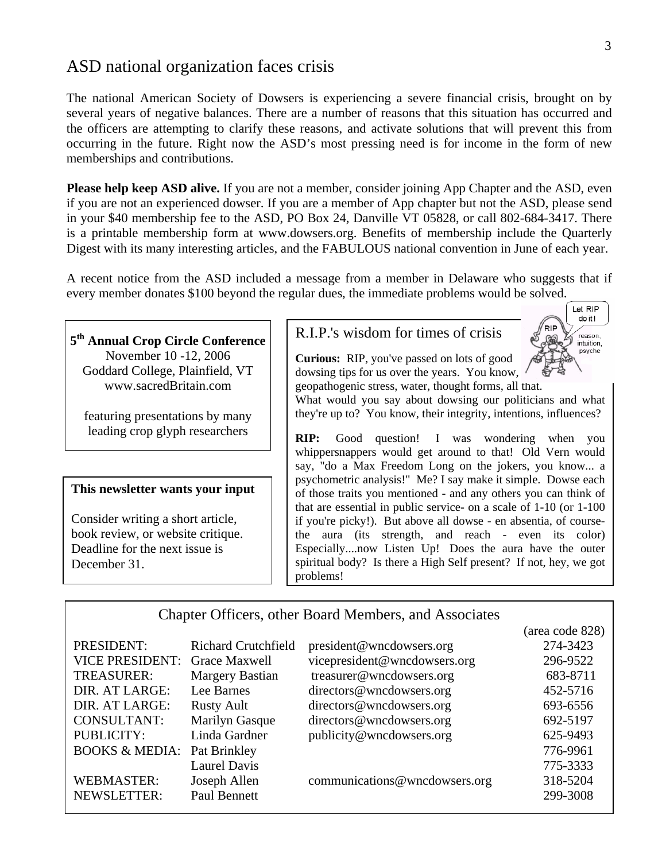# ASD national organization faces crisis

 The national American Society of Dowsers is experiencing a severe financial crisis, brought on by several years of negative balances. There are a number of reasons that this situation has occurred and the officers are attempting to clarify these reasons, and activate solutions that will prevent this from occurring in the future. Right now the ASD's most pressing need is for income in the form of new memberships and contributions.

**Please help keep ASD alive.** If you are not a member, consider joining App Chapter and the ASD, even if you are not an experienced dowser. If you are a member of App chapter but not the ASD, please send in your \$40 membership fee to the ASD, PO Box 24, Danville VT 05828, or call 802-684-3417. There is a printable membership form at www.dowsers.org. Benefits of membership include the Quarterly Digest with its many interesting articles, and the FABULOUS national convention in June of each year.

A recent notice from the ASD included a message from a member in Delaware who suggests that if every member donates \$100 beyond the regular dues, the immediate problems would be solved.

**5th Annual Crop Circle Conference**  November 10 -12, 2006 Goddard College, Plainfield, VT www.sacredBritain.com

featuring presentations by many leading crop glyph researchers

#### **This newsletter wants your input**

Consider writing a short article, book review, or website critique. Deadline for the next issue is December 31.

## R.I.P.'s wisdom for times of crisis

**Curious:** RIP, you've passed on lots of good dowsing tips for us over the years. You know, geopathogenic stress, water, thought forms, all that.

What would you say about dowsing our politicians and what they're up to? You know, their integrity, intentions, influences?

**RIP:** Good question! I was wondering when you whippersnappers would get around to that! Old Vern would say, "do a Max Freedom Long on the jokers, you know... a psychometric analysis!" Me? I say make it simple. Dowse each of those traits you mentioned - and any others you can think of that are essential in public service- on a scale of 1-10 (or 1-100 if you're picky!). But above all dowse - en absentia, of coursethe aura (its strength, and reach - even its color) Especially....now Listen Up! Does the aura have the outer spiritual body? Is there a High Self present? If not, hey, we got problems!

## Chapter Officers, other Board Members, and Associates

|                                        |                            |                               | (area code 828) |
|----------------------------------------|----------------------------|-------------------------------|-----------------|
| PRESIDENT:                             | <b>Richard Crutchfield</b> | president@wncdowsers.org      | 274-3423        |
| <b>VICE PRESIDENT:</b>                 | Grace Maxwell              | vicepresident@wncdowsers.org  | 296-9522        |
| TREASURER:                             | <b>Margery Bastian</b>     | treasurer@wncdowsers.org      | 683-8711        |
| DIR. AT LARGE:                         | Lee Barnes                 | directors@wncdowsers.org      | 452-5716        |
| DIR. AT LARGE:                         | <b>Rusty Ault</b>          | directors@wncdowsers.org      | 693-6556        |
| <b>CONSULTANT:</b>                     | <b>Marilyn Gasque</b>      | directors@wncdowsers.org      | 692-5197        |
| PUBLICITY:                             | Linda Gardner              | publicity@wncdowsers.org      | 625-9493        |
| <b>BOOKS &amp; MEDIA:</b> Pat Brinkley |                            |                               | 776-9961        |
|                                        | <b>Laurel Davis</b>        |                               | 775-3333        |
| <b>WEBMASTER:</b>                      | Joseph Allen               | communications@wncdowsers.org | 318-5204        |
| NEWSLETTER:                            | Paul Bennett               |                               | 299-3008        |

Let RIP do it! reason, intuition. psyche